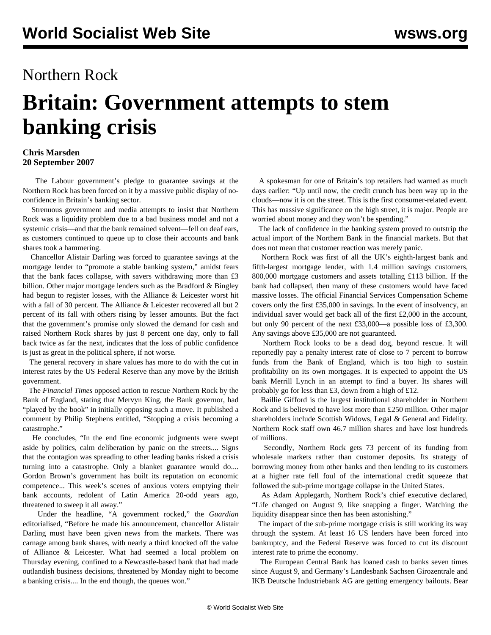## Northern Rock

## **Britain: Government attempts to stem banking crisis**

## **Chris Marsden 20 September 2007**

 The Labour government's pledge to guarantee savings at the Northern Rock has been forced on it by a massive public display of noconfidence in Britain's banking sector.

 Strenuous government and media attempts to insist that Northern Rock was a liquidity problem due to a bad business model and not a systemic crisis—and that the bank remained solvent—fell on deaf ears, as customers continued to queue up to close their accounts and bank shares took a hammering.

 Chancellor Alistair Darling was forced to guarantee savings at the mortgage lender to "promote a stable banking system," amidst fears that the bank faces collapse, with savers withdrawing more than £3 billion. Other major mortgage lenders such as the Bradford & Bingley had begun to register losses, with the Alliance & Leicester worst hit with a fall of 30 percent. The Alliance & Leicester recovered all but 2 percent of its fall with others rising by lesser amounts. But the fact that the government's promise only slowed the demand for cash and raised Northern Rock shares by just 8 percent one day, only to fall back twice as far the next, indicates that the loss of public confidence is just as great in the political sphere, if not worse.

 The general recovery in share values has more to do with the cut in interest rates by the US Federal Reserve than any move by the British government.

 The *Financial Times* opposed action to rescue Northern Rock by the Bank of England, stating that Mervyn King, the Bank governor, had "played by the book" in initially opposing such a move. It published a comment by Philip Stephens entitled, "Stopping a crisis becoming a catastrophe."

 He concludes, "In the end fine economic judgments were swept aside by politics, calm deliberation by panic on the streets.... Signs that the contagion was spreading to other leading banks risked a crisis turning into a catastrophe. Only a blanket guarantee would do.... Gordon Brown's government has built its reputation on economic competence... This week's scenes of anxious voters emptying their bank accounts, redolent of Latin America 20-odd years ago, threatened to sweep it all away."

 Under the headline, "A government rocked," the *Guardian* editorialised, "Before he made his announcement, chancellor Alistair Darling must have been given news from the markets. There was carnage among bank shares, with nearly a third knocked off the value of Alliance & Leicester. What had seemed a local problem on Thursday evening, confined to a Newcastle-based bank that had made outlandish business decisions, threatened by Monday night to become a banking crisis.... In the end though, the queues won."

 A spokesman for one of Britain's top retailers had warned as much days earlier: "Up until now, the credit crunch has been way up in the clouds—now it is on the street. This is the first consumer-related event. This has massive significance on the high street, it is major. People are worried about money and they won't be spending."

 The lack of confidence in the banking system proved to outstrip the actual import of the Northern Bank in the financial markets. But that does not mean that customer reaction was merely panic.

 Northern Rock was first of all the UK's eighth-largest bank and fifth-largest mortgage lender, with 1.4 million savings customers, 800,000 mortgage customers and assets totalling £113 billion. If the bank had collapsed, then many of these customers would have faced massive losses. The official Financial Services Compensation Scheme covers only the first £35,000 in savings. In the event of insolvency, an individual saver would get back all of the first £2,000 in the account, but only 90 percent of the next £33,000—a possible loss of £3,300. Any savings above £35,000 are not guaranteed.

 Northern Rock looks to be a dead dog, beyond rescue. It will reportedly pay a penalty interest rate of close to 7 percent to borrow funds from the Bank of England, which is too high to sustain profitability on its own mortgages. It is expected to appoint the US bank Merrill Lynch in an attempt to find a buyer. Its shares will probably go for less than £3, down from a high of £12.

 Baillie Gifford is the largest institutional shareholder in Northern Rock and is believed to have lost more than £250 million. Other major shareholders include Scottish Widows, Legal & General and Fidelity. Northern Rock staff own 46.7 million shares and have lost hundreds of millions.

 Secondly, Northern Rock gets 73 percent of its funding from wholesale markets rather than customer deposits. Its strategy of borrowing money from other banks and then lending to its customers at a higher rate fell foul of the international credit squeeze that followed the sub-prime mortgage collapse in the United States.

 As Adam Applegarth, Northern Rock's chief executive declared, "Life changed on August 9, like snapping a finger. Watching the liquidity disappear since then has been astonishing."

 The impact of the sub-prime mortgage crisis is still working its way through the system. At least 16 US lenders have been forced into bankruptcy, and the Federal Reserve was forced to cut its discount interest rate to prime the economy.

 The European Central Bank has loaned cash to banks seven times since August 9, and Germany's Landesbank Sachsen Girozentrale and IKB Deutsche Industriebank AG are getting emergency bailouts. Bear